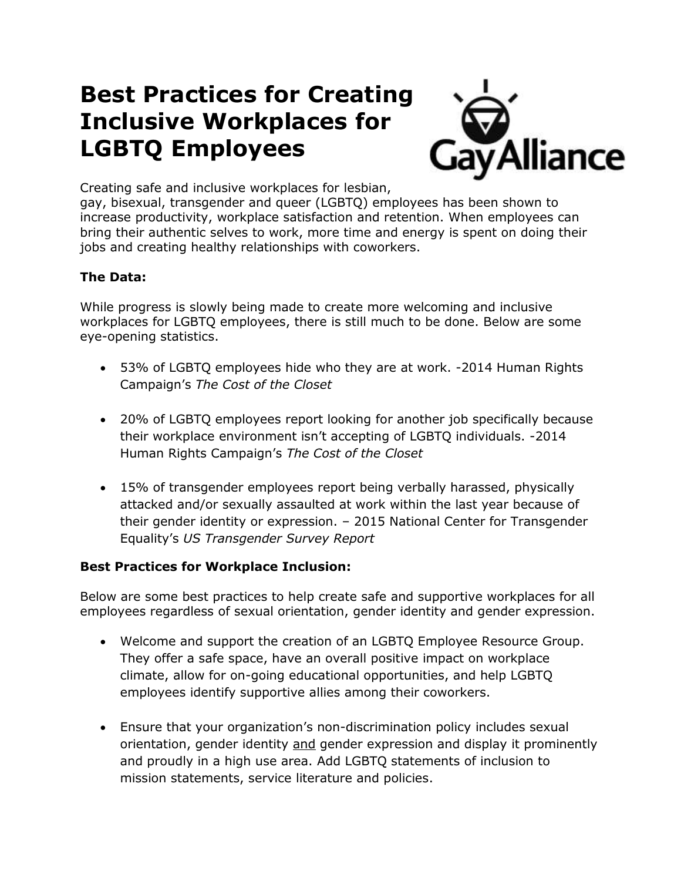# **Best Practices for Creating Inclusive Workplaces for LGBTQ Employees**



Creating safe and inclusive workplaces for lesbian,

gay, bisexual, transgender and queer (LGBTQ) employees has been shown to increase productivity, workplace satisfaction and retention. When employees can bring their authentic selves to work, more time and energy is spent on doing their jobs and creating healthy relationships with coworkers.

### **The Data:**

While progress is slowly being made to create more welcoming and inclusive workplaces for LGBTQ employees, there is still much to be done. Below are some eye-opening statistics.

- 53% of LGBTQ employees hide who they are at work. -2014 Human Rights Campaign's *The Cost of the Closet*
- 20% of LGBTQ employees report looking for another job specifically because their workplace environment isn't accepting of LGBTQ individuals. -2014 Human Rights Campaign's *The Cost of the Closet*
- 15% of transgender employees report being verbally harassed, physically attacked and/or sexually assaulted at work within the last year because of their gender identity or expression. – 2015 National Center for Transgender Equality's *US Transgender Survey Report*

#### **Best Practices for Workplace Inclusion:**

Below are some best practices to help create safe and supportive workplaces for all employees regardless of sexual orientation, gender identity and gender expression.

- Welcome and support the creation of an LGBTQ Employee Resource Group. They offer a safe space, have an overall positive impact on workplace climate, allow for on-going educational opportunities, and help LGBTQ employees identify supportive allies among their coworkers.
- Ensure that your organization's non-discrimination policy includes sexual orientation, gender identity and gender expression and display it prominently and proudly in a high use area. Add LGBTQ statements of inclusion to mission statements, service literature and policies.